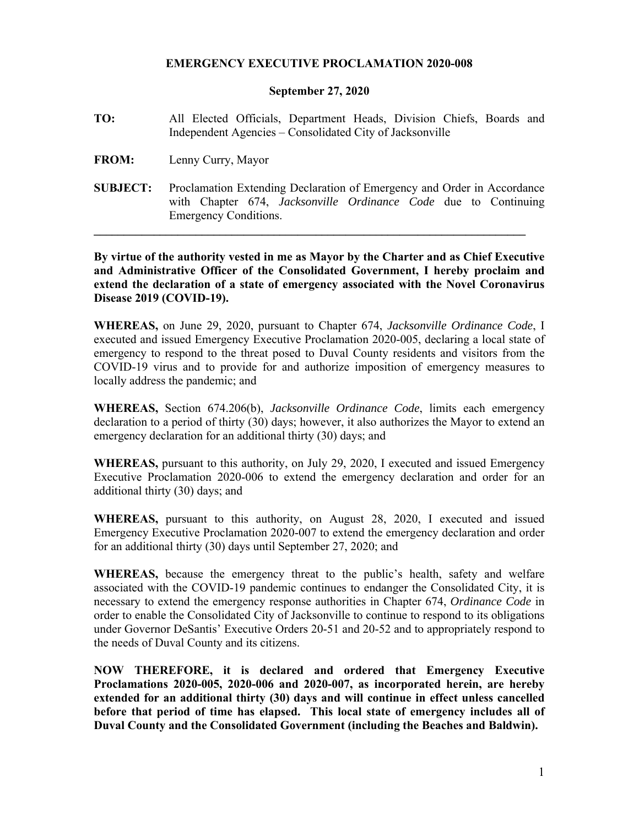## **EMERGENCY EXECUTIVE PROCLAMATION 2020-008**

## **September 27, 2020**

- **TO:** All Elected Officials, Department Heads, Division Chiefs, Boards and Independent Agencies – Consolidated City of Jacksonville
- **FROM:** Lenny Curry, Mayor
- **SUBJECT:** Proclamation Extending Declaration of Emergency and Order in Accordance with Chapter 674, *Jacksonville Ordinance Code* due to Continuing Emergency Conditions.

**\_\_\_\_\_\_\_\_\_\_\_\_\_\_\_\_\_\_\_\_\_\_\_\_\_\_\_\_\_\_\_\_\_\_\_\_\_\_\_\_\_\_\_\_\_\_\_\_\_\_\_\_\_\_\_\_\_\_\_\_\_\_\_\_\_\_\_\_\_\_\_\_**

**By virtue of the authority vested in me as Mayor by the Charter and as Chief Executive and Administrative Officer of the Consolidated Government, I hereby proclaim and extend the declaration of a state of emergency associated with the Novel Coronavirus Disease 2019 (COVID-19).** 

**WHEREAS,** on June 29, 2020, pursuant to Chapter 674, *Jacksonville Ordinance Code*, I executed and issued Emergency Executive Proclamation 2020-005, declaring a local state of emergency to respond to the threat posed to Duval County residents and visitors from the COVID-19 virus and to provide for and authorize imposition of emergency measures to locally address the pandemic; and

**WHEREAS,** Section 674.206(b), *Jacksonville Ordinance Code*, limits each emergency declaration to a period of thirty (30) days; however, it also authorizes the Mayor to extend an emergency declaration for an additional thirty (30) days; and

**WHEREAS,** pursuant to this authority, on July 29, 2020, I executed and issued Emergency Executive Proclamation 2020-006 to extend the emergency declaration and order for an additional thirty (30) days; and

**WHEREAS,** pursuant to this authority, on August 28, 2020, I executed and issued Emergency Executive Proclamation 2020-007 to extend the emergency declaration and order for an additional thirty (30) days until September 27, 2020; and

**WHEREAS,** because the emergency threat to the public's health, safety and welfare associated with the COVID-19 pandemic continues to endanger the Consolidated City, it is necessary to extend the emergency response authorities in Chapter 674, *Ordinance Code* in order to enable the Consolidated City of Jacksonville to continue to respond to its obligations under Governor DeSantis' Executive Orders 20-51 and 20-52 and to appropriately respond to the needs of Duval County and its citizens.

**NOW THEREFORE, it is declared and ordered that Emergency Executive Proclamations 2020-005, 2020-006 and 2020-007, as incorporated herein, are hereby extended for an additional thirty (30) days and will continue in effect unless cancelled before that period of time has elapsed. This local state of emergency includes all of Duval County and the Consolidated Government (including the Beaches and Baldwin).**